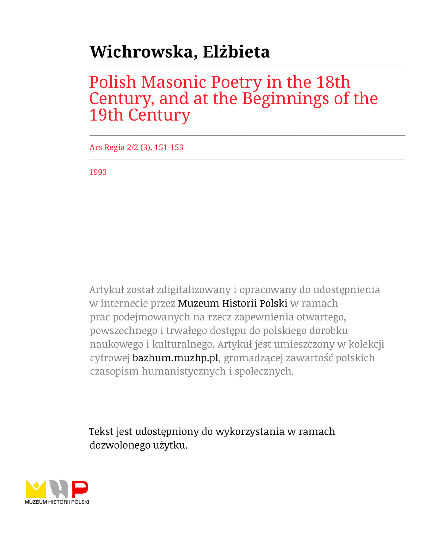## Wichrowska, Elżbieta

## Polish Masonic Poetry in the 18th<br>Century, and at the Beginnings of the 19th Century

Ars Regia 2/2 (3), 151-153

1993

Artykuł został zdigitalizowany i opracowany do udostępnienia w internecie przez Muzeum Historii Polski w ramach prac podejmowanych na rzecz zapewnienia otwartego, powszechnego i trwałego dostępu do polskiego dorobku naukowego i kulturalnego. Artykuł jest umieszczony w kolekcji cyfrowej bazhum.muzhp.pl, gromadzącej zawartość polskich czasopism humanistycznych i społecznych.

Tekst jest udostępniony do wykorzystania w ramach dozwolonego użytku.

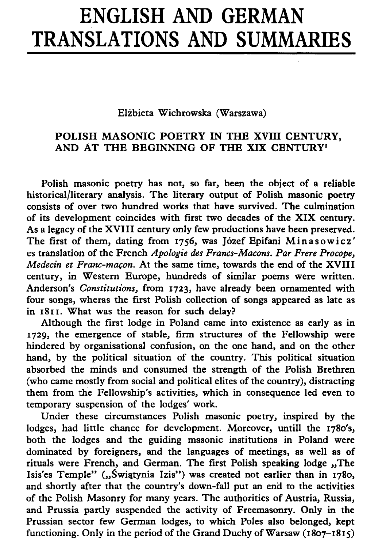## ENGLISH AND GERMAN TRANSLATIONS AND SUMMARIES

Elżbieta Wichrowska (Warszawa)

## POLISH MASONIC POETRY IN THE XVIII CENTURY, AND AT THE BEGINNING OF THE XIX CENTURY'

Polish masonic poetry has not, so far, been the object of a reliable historical/literary analysis. The literary output of Polish masonic poetry consists of over two hundred works that have survived. The culmination of its development coincides with first two decades of the XIX century. As a legacy of the XVIII century only few productions have been preserved. The first of them, dating from 1756, was Józef Epifani Minasowicz ' es translation of the French *Apologie des Francs-Macons. Par Frere Procope*, *Medecin et Franc-maçon*. At the same time, towards the end of the XVIII century, in Western Europe, hundreds of similar poems were written. Anderson's *Constitutions*, from 1723, have already been ornamented with four songs, wheras the first Polish collection of songs appeared as late as in 1811. What was the reason for such delay?

Although the first lodge in Poland came into existence as early as in 1729, the emergence of stable, firm structures of the Fellowship were hindered by organisational confusion, on the one hand, and on the other hand, by the political situation of the country. This political situation absorbed the minds and consumed the strength of the Polish Brethren (who came mostly from social and political elites of the country), distracting them from the Fellowship's activities, which in consequence led even to temporary suspension of the lodges' work.

Under these circumstances Polish masonic poetry, inspired by the lodges, had little chance for development. Moreover, untill the 1780's, both the lodges and the guiding masonic institutions in Poland were dominated by foreigners, and the languages of meetings, as well as of rituals were French, and German. The first Polish speaking lodge ., The Isis'es Temple" ("Świątynia Izis") was created not earlier than in 1780, and shortly after that the country's down-fall put an end to the activities of the Polish Masonry for many years. The authorities of Austria, Russia, and Prussia partly suspended the activity of Freemasonry. Only in the Prussian sector few German lodges, to which Poles also belonged, kept functioning. Only in the period of the Grand Duchy of Warsaw  $(1807 - 1815)$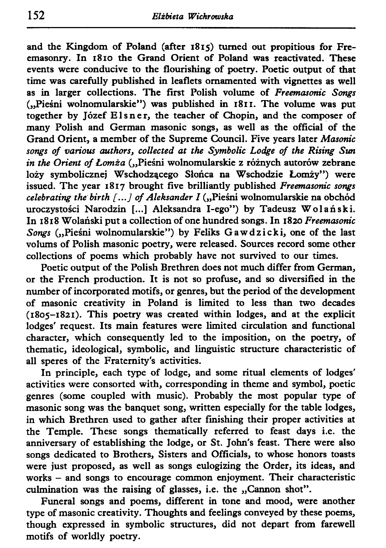and the Kingdom of Poland (after 1815) turned out propitious for Freemasonry. In 1810 the Grand Orient of Poland was reactivated. These events were conducive to the flourishing of poetry. Poetic output of that time was carefully published in leaflets ornamented with vignettes as well as in larger collections. The first Polish volume of *Freemasonic Songs*  ("Pieśni wolnomularskie") was published in 1811. The volume was put together by Józef Elsner, the teacher of Chopin, and the composer of many Polish and German masonic songs, as well as the official of the Grand Orient, a member of the Supreme Council. Five years later *Masonic songs of various authors, collected at the Symbolic Lodge of the Rising Sun in the Orient of Łomża* ("Pieśni wolnomularskie z różnych autorów zebrane loży symbolicznej Wschodzącego Słońca na Wschodzie Łomży") were issued. The year 1817 brought five brilliantly published *Freemasonic songs celebrating the birth [...] of Aleksander I* ("Pieśni wolnomularskie na obchód uroczystości Narodzin [...] Aleksandra I-ego") by Tadeusz Wolański. In 1818 Wolański put a collection of one hundred songs. In 1820 *Freemasonic Songs* ("Pieśni wolnomularskie") by Feliks Gawdzicki, one of the last volums of Polish masonic poetry, were released. Sources record some other collections of poems which probably have not survived to our times.

Poetic output of the Polish Brethren does not much differ from German, or the French production. It is not so profuse, and so diversified in the number of incorporated motifs, or genres, but the period of the development of masonic creativity in Poland is limited to less than two decades (1805-1821). This poetry was created within lodges, and at the explicit lodges' request. Its main features were limited circulation and functional character, which consequently led to the imposition, on the poetry, of thematic, ideological, symbolic, and linguistic structure characteristic of all speres of the Fraternity's activities.

In principle, each type of lodge, and some ritual elements of lodges' activities were consorted with, corresponding in theme and symbol, poetic genres (some coupled with music). Probably the most popular type of masonic song was the banquet song, written especially for the table lodges, in which Brethren used to gather after finishing their proper activities at the Temple. These songs thematically referred to feast days i.e. the anniversary of establishing the lodge, or St. John's feast. There were also songs dedicated to Brothers, Sisters and Officials, to whose honors toasts were just proposed, as well as songs eulogizing the Order, its ideas, and works — and songs to encourage common enjoyment. Their characteristic culmination was the raising of glasses, i.e. the "Cannon shot".

Funeral songs and poems, different in tone and mood, were another type of masonic creativity. Thoughts and feelings conveyed by these poems, though expressed in symbolic structures, did not depart from farewell motifs of worldly poetry.